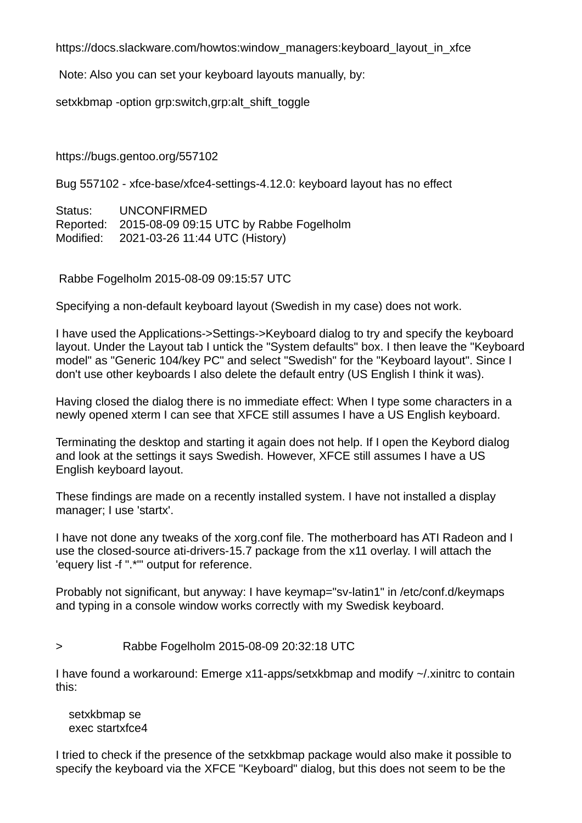https://docs.slackware.com/howtos:window\_managers:keyboard\_layout\_in\_xfce

Note: Also you can set your keyboard layouts manually, by:

setxkbmap -option grp:switch, grp: alt shift toggle

https://bugs.gentoo.org/557102

Bug 557102 - xfce-base/xfce4-settings-4.12.0: keyboard layout has no effect

Status: UNCONFIRMED Reported: 2015-08-09 09:15 UTC by Rabbe Fogelholm Modified: 2021-03-26 11:44 UTC (History)

Rabbe Fogelholm 2015-08-09 09:15:57 UTC

Specifying a non-default keyboard layout (Swedish in my case) does not work.

I have used the Applications->Settings->Keyboard dialog to try and specify the keyboard layout. Under the Layout tab I untick the "System defaults" box. I then leave the "Keyboard model" as "Generic 104/key PC" and select "Swedish" for the "Keyboard layout". Since I don't use other keyboards I also delete the default entry (US English I think it was).

Having closed the dialog there is no immediate effect: When I type some characters in a newly opened xterm I can see that XFCE still assumes I have a US English keyboard.

Terminating the desktop and starting it again does not help. If I open the Keybord dialog and look at the settings it says Swedish. However, XFCE still assumes I have a US English keyboard layout.

These findings are made on a recently installed system. I have not installed a display manager; I use 'startx'.

I have not done any tweaks of the xorg.conf file. The motherboard has ATI Radeon and I use the closed-source ati-drivers-15.7 package from the x11 overlay. I will attach the 'equery list -f ".\*"' output for reference.

Probably not significant, but anyway: I have keymap="sv-latin1" in /etc/conf.d/keymaps and typing in a console window works correctly with my Swedisk keyboard.

> Rabbe Fogelholm 2015-08-09 20:32:18 UTC

I have found a workaround: Emerge x11-apps/setxkbmap and modify ~/.xinitrc to contain this:

setxkbmap se exec startxfce4

I tried to check if the presence of the setxkbmap package would also make it possible to specify the keyboard via the XFCE "Keyboard" dialog, but this does not seem to be the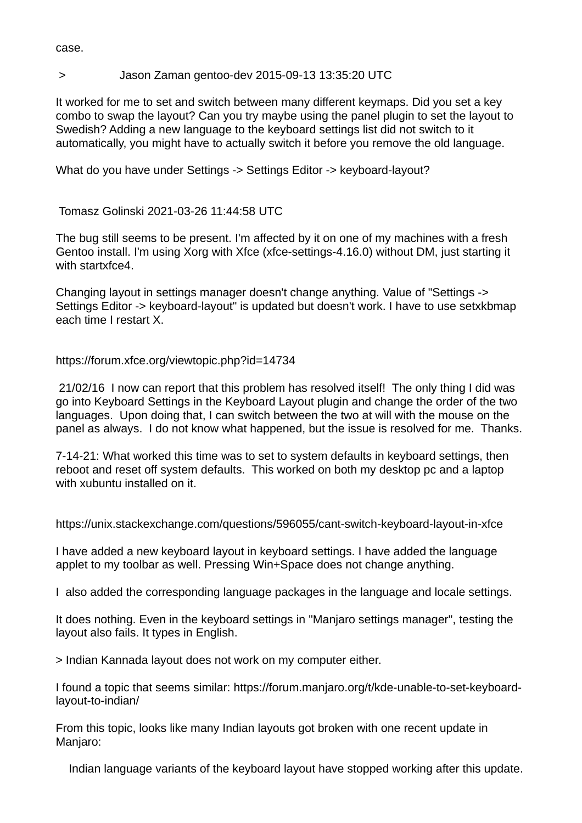case.

## > Jason Zaman gentoo-dev 2015-09-13 13:35:20 UTC

It worked for me to set and switch between many different keymaps. Did you set a key combo to swap the layout? Can you try maybe using the panel plugin to set the layout to Swedish? Adding a new language to the keyboard settings list did not switch to it automatically, you might have to actually switch it before you remove the old language.

What do you have under Settings -> Settings Editor -> keyboard-layout?

Tomasz Golinski 2021-03-26 11:44:58 UTC

The bug still seems to be present. I'm affected by it on one of my machines with a fresh Gentoo install. I'm using Xorg with Xfce (xfce-settings-4.16.0) without DM, just starting it with startxfce4.

Changing layout in settings manager doesn't change anything. Value of "Settings -> Settings Editor -> keyboard-layout" is updated but doesn't work. I have to use setxkbmap each time I restart X.

https://forum.xfce.org/viewtopic.php?id=14734

21/02/16 I now can report that this problem has resolved itself! The only thing I did was go into Keyboard Settings in the Keyboard Layout plugin and change the order of the two languages. Upon doing that, I can switch between the two at will with the mouse on the panel as always. I do not know what happened, but the issue is resolved for me. Thanks.

7-14-21: What worked this time was to set to system defaults in keyboard settings, then reboot and reset off system defaults. This worked on both my desktop pc and a laptop with xubuntu installed on it.

https://unix.stackexchange.com/questions/596055/cant-switch-keyboard-layout-in-xfce

I have added a new keyboard layout in keyboard settings. I have added the language applet to my toolbar as well. Pressing Win+Space does not change anything.

I also added the corresponding language packages in the language and locale settings.

It does nothing. Even in the keyboard settings in "Manjaro settings manager", testing the layout also fails. It types in English.

> Indian Kannada layout does not work on my computer either.

I found a topic that seems similar: https://forum.manjaro.org/t/kde-unable-to-set-keyboardlayout-to-indian/

From this topic, looks like many Indian layouts got broken with one recent update in Manjaro:

Indian language variants of the keyboard layout have stopped working after this update.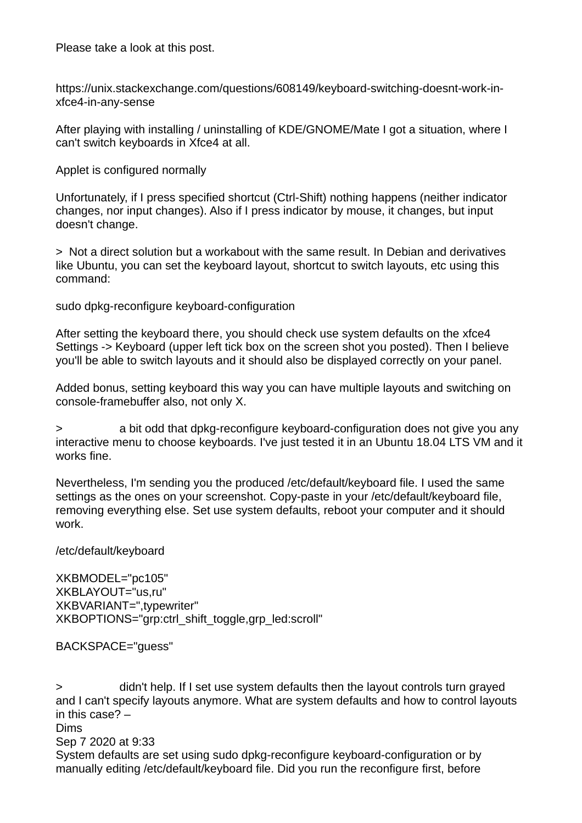Please take a look at this post.

https://unix.stackexchange.com/questions/608149/keyboard-switching-doesnt-work-inxfce4-in-any-sense

After playing with installing / uninstalling of KDE/GNOME/Mate I got a situation, where I can't switch keyboards in Xfce4 at all.

Applet is configured normally

Unfortunately, if I press specified shortcut (Ctrl-Shift) nothing happens (neither indicator changes, nor input changes). Also if I press indicator by mouse, it changes, but input doesn't change.

> Not a direct solution but a workabout with the same result. In Debian and derivatives like Ubuntu, you can set the keyboard layout, shortcut to switch layouts, etc using this command:

sudo dpkg-reconfigure keyboard-configuration

After setting the keyboard there, you should check use system defaults on the xfce4 Settings -> Keyboard (upper left tick box on the screen shot you posted). Then I believe you'll be able to switch layouts and it should also be displayed correctly on your panel.

Added bonus, setting keyboard this way you can have multiple layouts and switching on console-framebuffer also, not only X.

> a bit odd that dpkg-reconfigure keyboard-configuration does not give you any interactive menu to choose keyboards. I've just tested it in an Ubuntu 18.04 LTS VM and it works fine.

Nevertheless, I'm sending you the produced /etc/default/keyboard file. I used the same settings as the ones on your screenshot. Copy-paste in your /etc/default/keyboard file, removing everything else. Set use system defaults, reboot your computer and it should work.

/etc/default/keyboard

XKBMODEL="pc105" XKBLAYOUT="us,ru" XKBVARIANT=",typewriter" XKBOPTIONS="grp:ctrl\_shift\_toggle,grp\_led:scroll"

BACKSPACE="guess"

> didn't help. If I set use system defaults then the layout controls turn grayed and I can't specify layouts anymore. What are system defaults and how to control layouts in this case? – Dims Sep 7 2020 at 9:33 System defaults are set using sudo dpkg-reconfigure keyboard-configuration or by manually editing /etc/default/keyboard file. Did you run the reconfigure first, before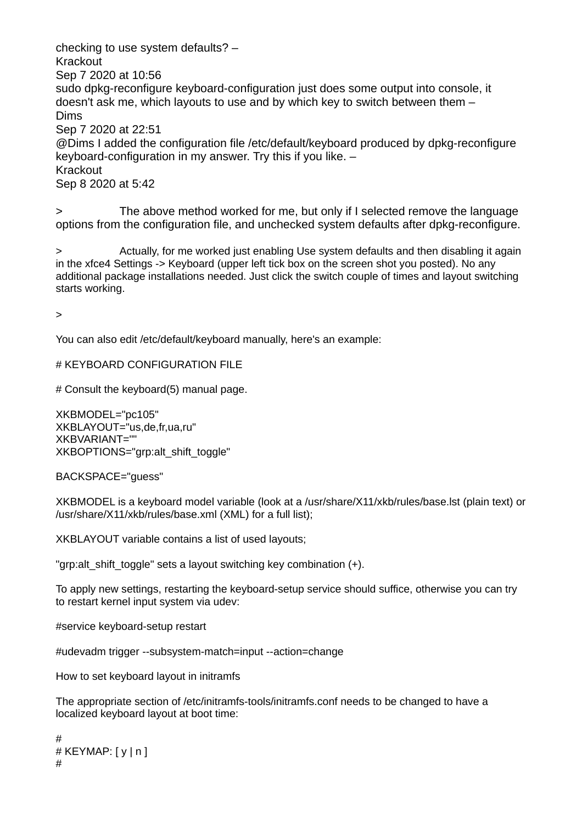checking to use system defaults? – Krackout Sep 7 2020 at 10:56 sudo dpkg-reconfigure keyboard-configuration just does some output into console, it doesn't ask me, which layouts to use and by which key to switch between them – Dims Sep 7 2020 at 22:51 @Dims I added the configuration file /etc/default/keyboard produced by dpkg-reconfigure keyboard-configuration in my answer. Try this if you like. – Krackout Sep 8 2020 at 5:42

> The above method worked for me, but only if I selected remove the language options from the configuration file, and unchecked system defaults after dpkg-reconfigure.

> Actually, for me worked just enabling Use system defaults and then disabling it again in the xfce4 Settings -> Keyboard (upper left tick box on the screen shot you posted). No any additional package installations needed. Just click the switch couple of times and layout switching starts working.

>

You can also edit /etc/default/keyboard manually, here's an example:

# KEYBOARD CONFIGURATION FILE

# Consult the keyboard(5) manual page.

XKBMODEL="pc105" XKBLAYOUT="us,de,fr,ua,ru" XKBVARIANT="" XKBOPTIONS="grp:alt\_shift\_toggle"

BACKSPACE="guess"

XKBMODEL is a keyboard model variable (look at a /usr/share/X11/xkb/rules/base.lst (plain text) or /usr/share/X11/xkb/rules/base.xml (XML) for a full list);

XKBLAYOUT variable contains a list of used layouts;

"grp: alt shift toggle" sets a layout switching key combination (+).

To apply new settings, restarting the keyboard-setup service should suffice, otherwise you can try to restart kernel input system via udev:

#service keyboard-setup restart

#udevadm trigger --subsystem-match=input --action=change

How to set keyboard layout in initramfs

The appropriate section of /etc/initramfs-tools/initramfs.conf needs to be changed to have a localized keyboard layout at boot time:

```
#
# KEYMAP: [y | n]#
```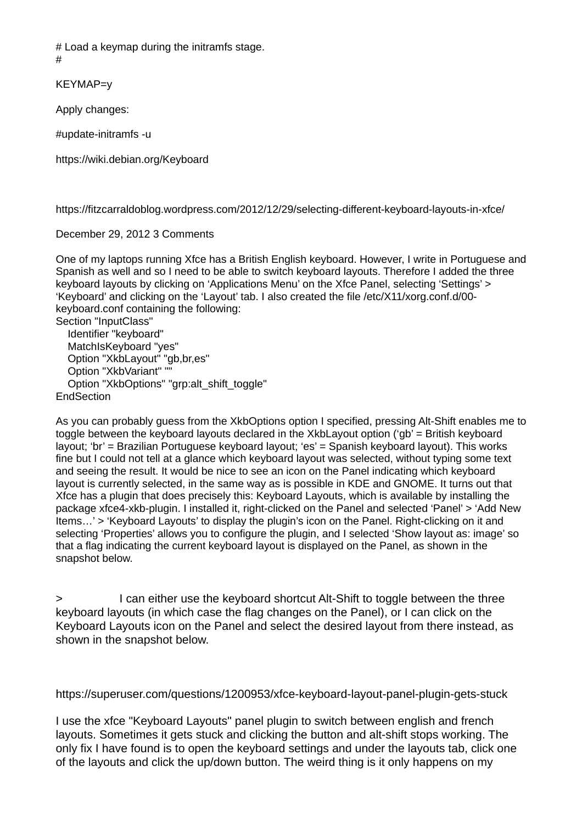# Load a keymap during the initramfs stage.

#

KEYMAP=y

Apply changes:

#update-initramfs -u

https://wiki.debian.org/Keyboard

https://fitzcarraldoblog.wordpress.com/2012/12/29/selecting-different-keyboard-layouts-in-xfce/

## December 29, 2012 3 Comments

One of my laptops running Xfce has a British English keyboard. However, I write in Portuguese and Spanish as well and so I need to be able to switch keyboard layouts. Therefore I added the three keyboard layouts by clicking on 'Applications Menu' on the Xfce Panel, selecting 'Settings' > 'Keyboard' and clicking on the 'Layout' tab. I also created the file /etc/X11/xorg.conf.d/00 keyboard.conf containing the following:

Section "InputClass" Identifier "keyboard" MatchIsKeyboard "yes" Option "XkbLayout" "gb,br,es" Option "XkbVariant" "" Option "XkbOptions" "grp:alt\_shift\_toggle" **EndSection** 

As you can probably guess from the XkbOptions option I specified, pressing Alt-Shift enables me to toggle between the keyboard layouts declared in the XkbLayout option ('gb' = British keyboard layout; 'br' = Brazilian Portuguese keyboard layout; 'es' = Spanish keyboard layout). This works fine but I could not tell at a glance which keyboard layout was selected, without typing some text and seeing the result. It would be nice to see an icon on the Panel indicating which keyboard layout is currently selected, in the same way as is possible in KDE and GNOME. It turns out that Xfce has a plugin that does precisely this: Keyboard Layouts, which is available by installing the package xfce4-xkb-plugin. I installed it, right-clicked on the Panel and selected 'Panel' > 'Add New Items…' > 'Keyboard Layouts' to display the plugin's icon on the Panel. Right-clicking on it and selecting 'Properties' allows you to configure the plugin, and I selected 'Show layout as: image' so that a flag indicating the current keyboard layout is displayed on the Panel, as shown in the snapshot below.

> I can either use the keyboard shortcut Alt-Shift to toggle between the three keyboard layouts (in which case the flag changes on the Panel), or I can click on the Keyboard Layouts icon on the Panel and select the desired layout from there instead, as shown in the snapshot below.

## https://superuser.com/questions/1200953/xfce-keyboard-layout-panel-plugin-gets-stuck

I use the xfce "Keyboard Layouts" panel plugin to switch between english and french layouts. Sometimes it gets stuck and clicking the button and alt-shift stops working. The only fix I have found is to open the keyboard settings and under the layouts tab, click one of the layouts and click the up/down button. The weird thing is it only happens on my